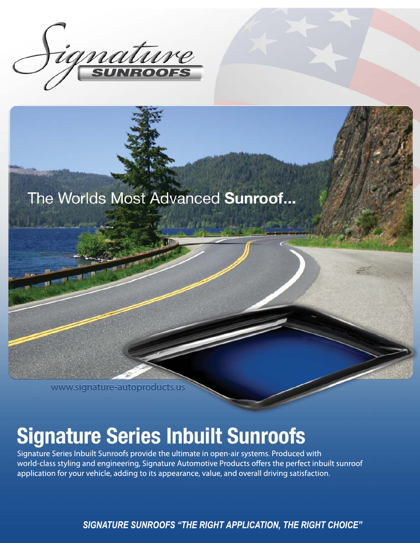

## The Worlds Most Advanced Sunroof...

www.signature-autoproducts.us

## **Signature Series Inbuilt Sunroofs**

Signature Series Inbuilt Sunroofs provide the ultimate in open-air systems. Produced with world-class styling and engineering, Signature Automotive Products offers the perfect inbuilt sunroof application for your vehicle, adding to its appearance, value, and overall driving satisfaction.

**SIGNATURE SUNROOFS "THE RIGHT APPLICATION, THE RIGHT CHOICE"**